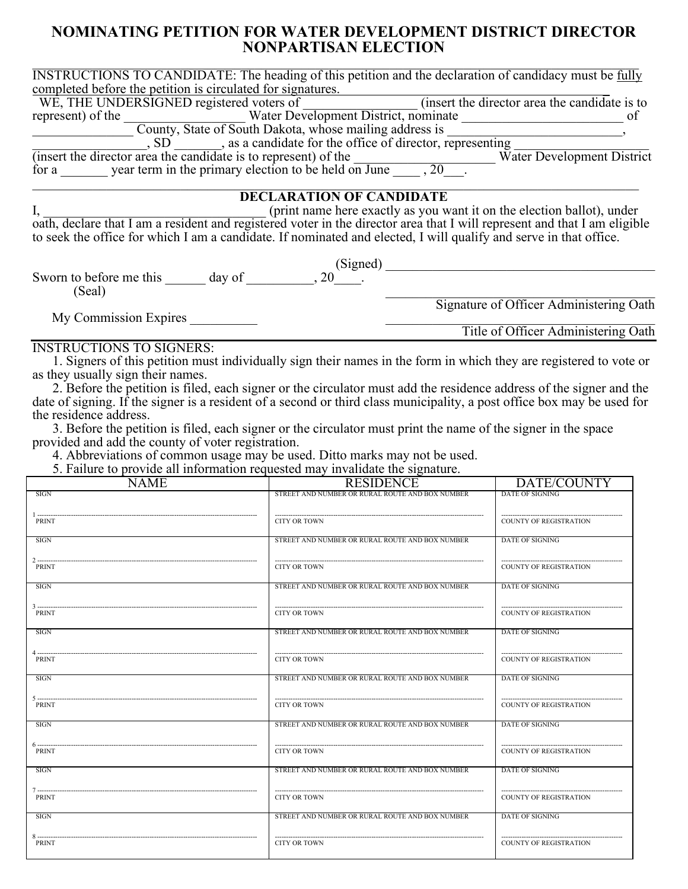## **NOMINATING PETITION FOR WATER DEVELOPMENT DISTRICT DIRECTOR NONPARTISAN ELECTION**

| <b>INSTRUCTIONS TO CANDIDATE:</b> The heading of this petition and the declaration of candidacy must be fully                                                                                          |                                                 |                                         |
|--------------------------------------------------------------------------------------------------------------------------------------------------------------------------------------------------------|-------------------------------------------------|-----------------------------------------|
| completed before the petition is circulated for signatures.                                                                                                                                            |                                                 |                                         |
| WE, THE UNDERSIGNED registered voters of<br>water Development District, nominate<br>County, State of South Dakota, whose mailing address is<br>SD                                                      |                                                 |                                         |
|                                                                                                                                                                                                        |                                                 |                                         |
|                                                                                                                                                                                                        |                                                 |                                         |
|                                                                                                                                                                                                        |                                                 |                                         |
|                                                                                                                                                                                                        |                                                 |                                         |
|                                                                                                                                                                                                        |                                                 |                                         |
| $\overline{\text{(insert the director area the candidate is to represent) of the \nfor a underline term in the primary election to be held on June underline, 20.$                                     |                                                 |                                         |
|                                                                                                                                                                                                        | <b>DECLARATION OF CANDIDATE</b>                 |                                         |
|                                                                                                                                                                                                        |                                                 |                                         |
| I, (print name here exactly as you want it on the election ballot), under<br>oath, declare that I am a resident and registered voter in the director area that I will represent and that I am eligible |                                                 |                                         |
| to seek the office for which I am a candidate. If nominated and elected, I will qualify and serve in that office.                                                                                      |                                                 |                                         |
|                                                                                                                                                                                                        |                                                 |                                         |
| Sworn to before me this $\qquad \qquad \text{day of } \qquad \qquad .80 \qquad \qquad .80$                                                                                                             |                                                 |                                         |
|                                                                                                                                                                                                        |                                                 |                                         |
| (Seal)                                                                                                                                                                                                 |                                                 |                                         |
|                                                                                                                                                                                                        |                                                 | Signature of Officer Administering Oath |
| My Commission Expires                                                                                                                                                                                  |                                                 |                                         |
|                                                                                                                                                                                                        |                                                 | Title of Officer Administering Oath     |
| <b>INSTRUCTIONS TO SIGNERS:</b>                                                                                                                                                                        |                                                 |                                         |
| 1. Signers of this petition must individually sign their names in the form in which they are registered to vote or                                                                                     |                                                 |                                         |
| as they usually sign their names.                                                                                                                                                                      |                                                 |                                         |
| 2. Before the petition is filed, each signer or the circulator must add the residence address of the signer and the                                                                                    |                                                 |                                         |
| date of signing. If the signer is a resident of a second or third class municipality, a post office box may be used for                                                                                |                                                 |                                         |
| the residence address.                                                                                                                                                                                 |                                                 |                                         |
| 3. Before the petition is filed, each signer or the circulator must print the name of the signer in the space                                                                                          |                                                 |                                         |
| provided and add the county of voter registration.                                                                                                                                                     |                                                 |                                         |
| 4. Abbreviations of common usage may be used. Ditto marks may not be used.                                                                                                                             |                                                 |                                         |
| 5. Failure to provide all information requested may invalidate the signature.                                                                                                                          |                                                 |                                         |
| <b>NAME</b>                                                                                                                                                                                            | <b>RESIDENCE</b>                                | <b>DATE/COUNTY</b>                      |
| SIGN                                                                                                                                                                                                   | STREET AND NUMBER OR RURAL ROUTE AND BOX NUMBER | <b>DATE OF SIGNING</b>                  |
|                                                                                                                                                                                                        |                                                 |                                         |
| PRINT                                                                                                                                                                                                  | <b>CITY OR TOWN</b>                             | <b>COUNTY OF REGISTRATION</b>           |
| <b>SIGN</b>                                                                                                                                                                                            | STREET AND NUMBER OR RURAL ROUTE AND BOX NUMBER | DATE OF SIGNING                         |
|                                                                                                                                                                                                        |                                                 |                                         |

| <b>PRINT</b>                | <b>CITY OR TOWN</b>                                                    | <b>COUNTY OF REGISTRATION</b>                           |
|-----------------------------|------------------------------------------------------------------------|---------------------------------------------------------|
| <b>SIGN</b>                 | STREET AND NUMBER OR RURAL ROUTE AND BOX NUMBER                        | DATE OF SIGNING                                         |
| <b>PRINT</b>                | <b>CITY OR TOWN</b>                                                    | <b>COUNTY OF REGISTRATION</b>                           |
| SIGN                        | STREET AND NUMBER OR RURAL ROUTE AND BOX NUMBER                        | DATE OF SIGNING                                         |
| <b>PRINT</b>                | <b>CITY OR TOWN</b>                                                    | <b>COUNTY OF REGISTRATION</b>                           |
| <b>SIGN</b>                 | STREET AND NUMBER OR RURAL ROUTE AND BOX NUMBER                        | <b>DATE OF SIGNING</b>                                  |
| <b>PRINT</b><br><b>SIGN</b> | <b>CITY OR TOWN</b><br>STREET AND NUMBER OR RURAL ROUTE AND BOX NUMBER | <b>COUNTY OF REGISTRATION</b><br>DATE OF SIGNING        |
|                             |                                                                        |                                                         |
| <b>PRINT</b><br><b>SIGN</b> | <b>CITY OR TOWN</b><br>STREET AND NUMBER OR RURAL ROUTE AND BOX NUMBER | <b>COUNTY OF REGISTRATION</b><br><b>DATE OF SIGNING</b> |
|                             |                                                                        |                                                         |
| <b>PRINT</b><br><b>SIGN</b> | <b>CITY OR TOWN</b><br>STREET AND NUMBER OR RURAL ROUTE AND BOX NUMBER | <b>COUNTY OF REGISTRATION</b><br>DATE OF SIGNING        |
|                             |                                                                        |                                                         |
| <b>PRINT</b><br>SIGN        | <b>CITY OR TOWN</b><br>STREET AND NUMBER OR RURAL ROUTE AND BOX NUMBER | <b>COUNTY OF REGISTRATION</b><br>DATE OF SIGNING        |
|                             |                                                                        |                                                         |
| <b>PRINT</b>                | <b>CITY OR TOWN</b>                                                    | <b>COUNTY OF REGISTRATION</b>                           |